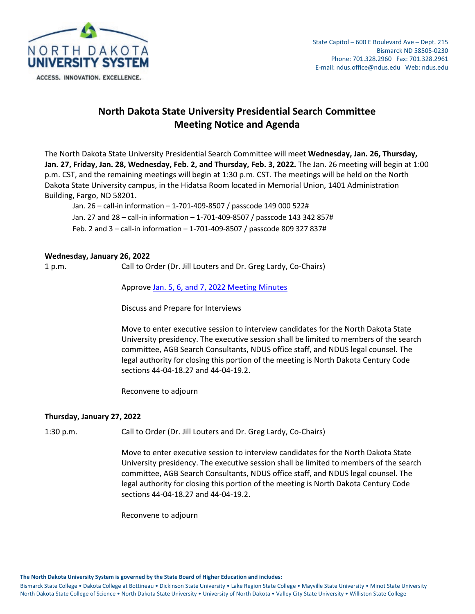

# **North Dakota State University Presidential Search Committee Meeting Notice and Agenda**

The North Dakota State University Presidential Search Committee will meet **Wednesday, Jan. 26, Thursday, Jan. 27, Friday, Jan. 28, Wednesday, Feb. 2, and Thursday, Feb. 3, 2022.** The Jan. 26 meeting will begin at 1:00 p.m. CST, and the remaining meetings will begin at 1:30 p.m. CST. The meetings will be held on the North Dakota State University campus, in the Hidatsa Room located in Memorial Union, 1401 Administration Building, Fargo, ND 58201.

Jan. 26 – call-in information – 1-701-409-8507 / passcode 149 000 522# Jan. 27 and 28 – call-in information – 1-701-409-8507 / passcode 143 342 857# Feb. 2 and 3 – call-in information – 1-701-409-8507 / passcode 809 327 837#

### **Wednesday, January 26, 2022**

1 p.m. Call to Order (Dr. Jill Louters and Dr. Greg Lardy, Co-Chairs)

Approve [Jan. 5, 6, and 7, 2022 Meeting Minutes](https://ndusbpos.sharepoint.com/:b:/s/NDUSSBHE/EWmjN_z5CsBEu9_JiFGxxH4Bo2-JIT0Awy3C9nEq-Fcr5g?e=ViqwE6)

Discuss and Prepare for Interviews

Move to enter executive session to interview candidates for the North Dakota State University presidency. The executive session shall be limited to members of the search committee, AGB Search Consultants, NDUS office staff, and NDUS legal counsel. The legal authority for closing this portion of the meeting is North Dakota Century Code sections 44-04-18.27 and 44-04-19.2.

Reconvene to adjourn

## **Thursday, January 27, 2022**

1:30 p.m. Call to Order (Dr. Jill Louters and Dr. Greg Lardy, Co-Chairs)

Move to enter executive session to interview candidates for the North Dakota State University presidency. The executive session shall be limited to members of the search committee, AGB Search Consultants, NDUS office staff, and NDUS legal counsel. The legal authority for closing this portion of the meeting is North Dakota Century Code sections 44-04-18.27 and 44-04-19.2.

Reconvene to adjourn

**The North Dakota University System is governed by the State Board of Higher Education and includes:**